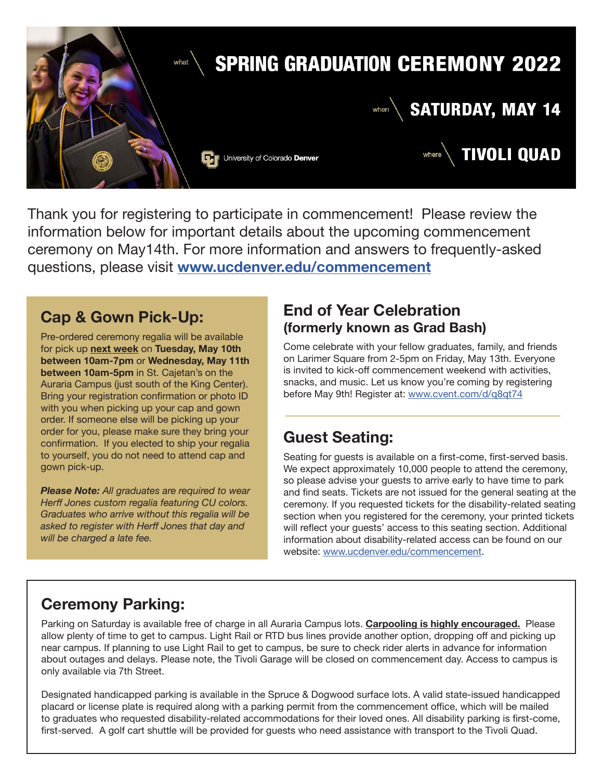

Thank you for registering to participate in commencement! Please review the information below for important details about the upcoming commencement ceremony on May14th. For more information and answers to frequently-asked questions, please visit **[www.ucdenver.edu/commencement](http://www.ucdenver.edu/commencement)**

#### **Cap & Gown Pick-Up:**

Pre-ordered ceremony regalia will be available for pick up **next week** on **Tuesday, May 10th between 10am-7pm** or **Wednesday, May 11th between 10am-5pm** in St. Cajetan's on the Auraria Campus (just south of the King Center). Bring your registration confirmation or photo ID with you when picking up your cap and gown order. If someone else will be picking up your order for you, please make sure they bring your confirmation. If you elected to ship your regalia to yourself, you do not need to attend cap and gown pick-up.

*Please Note: All graduates are required to wear Herff Jones custom regalia featuring CU colors. Graduates who arrive without this regalia will be asked to register with Herff Jones that day and will be charged a late fee.*

#### **End of Year Celebration (formerly known as Grad Bash)**

Come celebrate with your fellow graduates, family, and friends on Larimer Square from 2-5pm on Friday, May 13th. Everyone is invited to kick-off commencement weekend with activities, snacks, and music. Let us know you're coming by registering before May 9th! Register at: [www.cvent.com/d/q8qt74](http://www.cvent.com/d/q8qt74)

## **Guest Seating:**

Seating for guests is available on a first-come, first-served basis. We expect approximately 10,000 people to attend the ceremony, so please advise your guests to arrive early to have time to park and find seats. Tickets are not issued for the general seating at the ceremony. If you requested tickets for the disability-related seating section when you registered for the ceremony, your printed tickets will reflect your guests' access to this seating section. Additional information about disability-related access can be found on our website: [www.ucdenver.edu/commencement](http://www.ucdenver.edu/commencement).

# **Ceremony Parking:**

Parking on Saturday is available free of charge in all Auraria Campus lots. **Carpooling is highly encouraged.** Please allow plenty of time to get to campus. Light Rail or RTD bus lines provide another option, dropping off and picking up near campus. If planning to use Light Rail to get to campus, be sure to check rider alerts in advance for information about outages and delays. Please note, the Tivoli Garage will be closed on commencement day. Access to campus is only available via 7th Street.

Designated handicapped parking is available in the Spruce & Dogwood surface lots. A valid state-issued handicapped placard or license plate is required along with a parking permit from the commencement office, which will be mailed to graduates who requested disability-related accommodations for their loved ones. All disability parking is first-come, first-served. A golf cart shuttle will be provided for guests who need assistance with transport to the Tivoli Quad.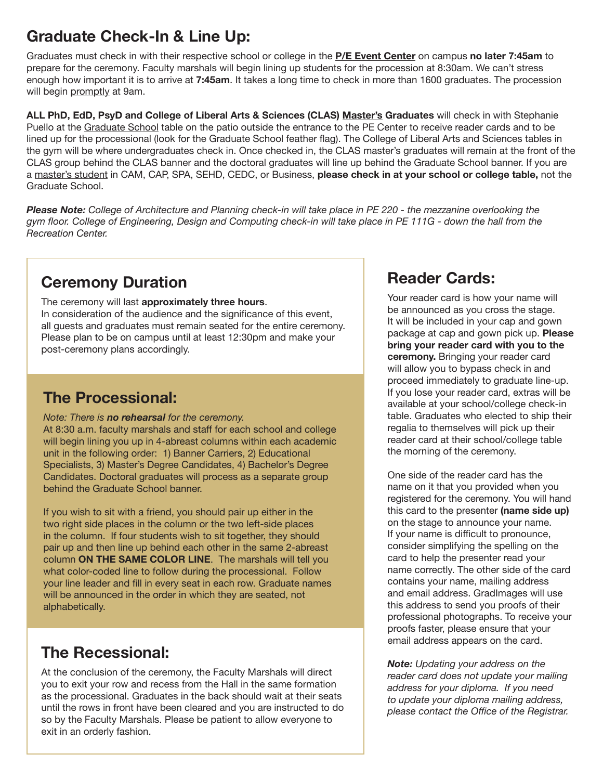# **Graduate Check-In & Line Up:**

Graduates must check in with their respective school or college in the **P/E Event Center** on campus **no later 7:45am** to prepare for the ceremony. Faculty marshals will begin lining up students for the procession at 8:30am. We can't stress enough how important it is to arrive at **7:45am**. It takes a long time to check in more than 1600 graduates. The procession will begin promptly at 9am.

**ALL PhD, EdD, PsyD and College of Liberal Arts & Sciences (CLAS) Master's Graduates** will check in with Stephanie Puello at the Graduate School table on the patio outside the entrance to the PE Center to receive reader cards and to be lined up for the processional (look for the Graduate School feather flag). The College of Liberal Arts and Sciences tables in the gym will be where undergraduates check in. Once checked in, the CLAS master's graduates will remain at the front of the CLAS group behind the CLAS banner and the doctoral graduates will line up behind the Graduate School banner. If you are a master's student in CAM, CAP, SPA, SEHD, CEDC, or Business, **please check in at your school or college table,** not the Graduate School.

*Please Note: College of Architecture and Planning check-in will take place in PE 220 - the mezzanine overlooking the* gym floor. College of Engineering, Design and Computing check-in will take place in PE 111G - down the hall from the *Recreation Center.*

# **Ceremony Duration**

The ceremony will last **approximately three hours**. In consideration of the audience and the significance of this event, all guests and graduates must remain seated for the entire ceremony. Please plan to be on campus until at least 12:30pm and make your post-ceremony plans accordingly.

# **The Processional:**

#### *Note: There is no rehearsal for the ceremony.*

At 8:30 a.m. faculty marshals and staff for each school and college will begin lining you up in 4-abreast columns within each academic unit in the following order: 1) Banner Carriers, 2) Educational Specialists, 3) Master's Degree Candidates, 4) Bachelor's Degree Candidates. Doctoral graduates will process as a separate group behind the Graduate School banner.

If you wish to sit with a friend, you should pair up either in the two right side places in the column or the two left-side places in the column. If four students wish to sit together, they should pair up and then line up behind each other in the same 2-abreast column **ON THE SAME COLOR LINE**. The marshals will tell you what color-coded line to follow during the processional. Follow your line leader and fill in every seat in each row. Graduate names will be announced in the order in which they are seated, not alphabetically.

## **The Recessional:**

At the conclusion of the ceremony, the Faculty Marshals will direct you to exit your row and recess from the Hall in the same formation as the processional. Graduates in the back should wait at their seats until the rows in front have been cleared and you are instructed to do so by the Faculty Marshals. Please be patient to allow everyone to exit in an orderly fashion.

# **Reader Cards:**

Your reader card is how your name will be announced as you cross the stage. It will be included in your cap and gown package at cap and gown pick up. **Please bring your reader card with you to the ceremony.** Bringing your reader card will allow you to bypass check in and proceed immediately to graduate line-up. If you lose your reader card, extras will be available at your school/college check-in table. Graduates who elected to ship their regalia to themselves will pick up their reader card at their school/college table the morning of the ceremony.

One side of the reader card has the name on it that you provided when you registered for the ceremony. You will hand this card to the presenter **(name side up)**  on the stage to announce your name. If your name is difficult to pronounce, consider simplifying the spelling on the card to help the presenter read your name correctly. The other side of the card contains your name, mailing address and email address. GradImages will use this address to send you proofs of their professional photographs. To receive your proofs faster, please ensure that your email address appears on the card.

*Note: Updating your address on the reader card does not update your mailing address for your diploma. If you need to update your diploma mailing address, please contact the Office of the Registrar.*